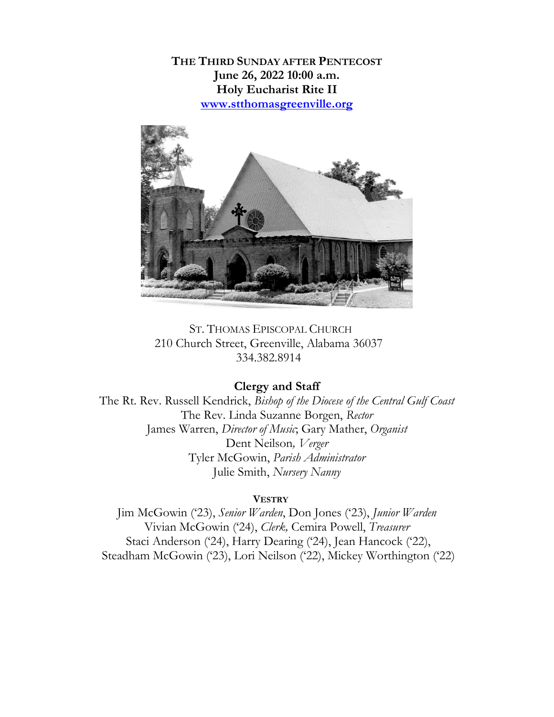**THE THIRD SUNDAY AFTER PENTECOST June 26, 2022 10:00 a.m. Holy Eucharist Rite II [www.stthomasgreenville.org](../../../Downloads/www.stthomasgreenville.org)**



ST. THOMAS EPISCOPAL CHURCH 210 Church Street, Greenville, Alabama 36037 334.382.8914

**Clergy and Staff**

The Rt. Rev. Russell Kendrick, *Bishop of the Diocese of the Central Gulf Coast* The Rev. Linda Suzanne Borgen, *Rector* James Warren, *Director of Music*; Gary Mather, *Organist* Dent Neilson*, Verger* Tyler McGowin, *Parish Administrator* Julie Smith, *Nursery Nanny*

### **VESTRY**

Jim McGowin ('23), *Senior Warden*, Don Jones ('23), *Junior Warden* Vivian McGowin ('24), *Clerk,* Cemira Powell, *Treasurer* Staci Anderson ('24), Harry Dearing ('24), Jean Hancock ('22), Steadham McGowin ('23), Lori Neilson ('22), Mickey Worthington ('22)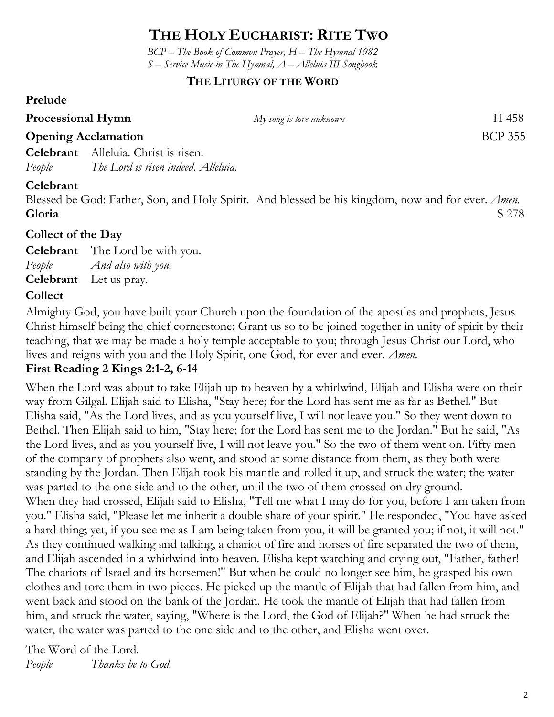# **THE HOLY EUCHARIST: RITE TWO**

*BCP – The Book of Common Prayer, H – The Hymnal 1982 S – Service Music in The Hymnal, A – Alleluia III Songbook*

### **THE LITURGY OF THE WORD**

### **Prelude**

| <b>Processional Hymn</b>   | My song is love unknown | H 458          |
|----------------------------|-------------------------|----------------|
| <b>Opening Acclamation</b> |                         | <b>BCP 355</b> |
|                            |                         |                |

**Celebrant** Alleluia. Christ is risen. *People The Lord is risen indeed. Alleluia.*

# **Celebrant**

Blessed be God: Father, Son, and Holy Spirit. And blessed be his kingdom, now and for ever. *Amen.* **Gloria** S 278

# **Collect of the Day**

**Celebrant** The Lord be with you. *People And also with you.* **Celebrant** Let us pray.

# **Collect**

Almighty God, you have built your Church upon the foundation of the apostles and prophets, Jesus Christ himself being the chief cornerstone: Grant us so to be joined together in unity of spirit by their teaching, that we may be made a holy temple acceptable to you; through Jesus Christ our Lord, who lives and reigns with you and the Holy Spirit, one God, for ever and ever. *Amen.*

# **First Reading 2 Kings 2:1-2, 6-14**

When the Lord was about to take Elijah up to heaven by a whirlwind, Elijah and Elisha were on their way from Gilgal. Elijah said to Elisha, "Stay here; for the Lord has sent me as far as Bethel." But Elisha said, "As the Lord lives, and as you yourself live, I will not leave you." So they went down to Bethel. Then Elijah said to him, "Stay here; for the Lord has sent me to the Jordan." But he said, "As the Lord lives, and as you yourself live, I will not leave you." So the two of them went on. Fifty men of the company of prophets also went, and stood at some distance from them, as they both were standing by the Jordan. Then Elijah took his mantle and rolled it up, and struck the water; the water was parted to the one side and to the other, until the two of them crossed on dry ground. When they had crossed, Elijah said to Elisha, "Tell me what I may do for you, before I am taken from you." Elisha said, "Please let me inherit a double share of your spirit." He responded, "You have asked a hard thing; yet, if you see me as I am being taken from you, it will be granted you; if not, it will not." As they continued walking and talking, a chariot of fire and horses of fire separated the two of them, and Elijah ascended in a whirlwind into heaven. Elisha kept watching and crying out, "Father, father! The chariots of Israel and its horsemen!" But when he could no longer see him, he grasped his own clothes and tore them in two pieces. He picked up the mantle of Elijah that had fallen from him, and went back and stood on the bank of the Jordan. He took the mantle of Elijah that had fallen from him, and struck the water, saying, "Where is the Lord, the God of Elijah?" When he had struck the water, the water was parted to the one side and to the other, and Elisha went over.

The Word of the Lord. *People Thanks be to God.*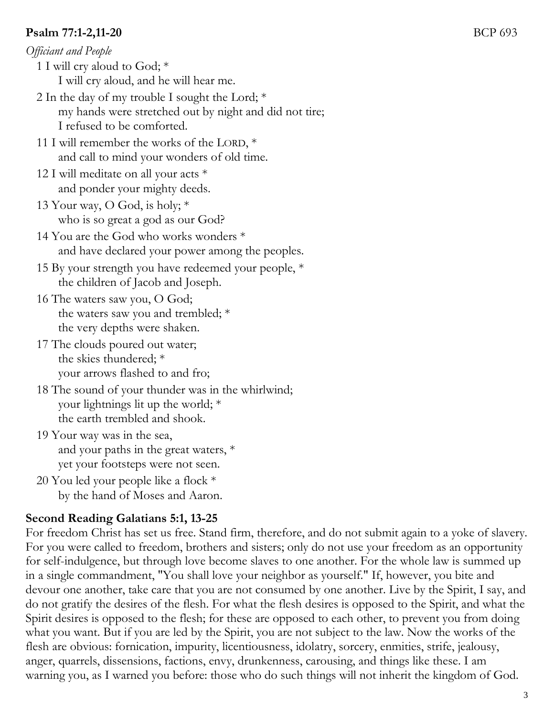### **Psalm 77:1-2,11-20** BCP 693

*Officiant and People*

- 1 I will cry aloud to God; \* I will cry aloud, and he will hear me.
- 2 In the day of my trouble I sought the Lord; \* my hands were stretched out by night and did not tire; I refused to be comforted.
- 11 I will remember the works of the LORD, \* and call to mind your wonders of old time.
- 12 I will meditate on all your acts \* and ponder your mighty deeds.
- 13 Your way, O God, is holy; \* who is so great a god as our God?
- 14 You are the God who works wonders \* and have declared your power among the peoples.
- 15 By your strength you have redeemed your people, \* the children of Jacob and Joseph.
- 16 The waters saw you, O God; the waters saw you and trembled; \* the very depths were shaken.
- 17 The clouds poured out water; the skies thundered; \* your arrows flashed to and fro;
- 18 The sound of your thunder was in the whirlwind; your lightnings lit up the world; \* the earth trembled and shook.
- 19 Your way was in the sea, and your paths in the great waters, \* yet your footsteps were not seen.
- 20 You led your people like a flock \* by the hand of Moses and Aaron.

# **Second Reading Galatians 5:1, 13-25**

For freedom Christ has set us free. Stand firm, therefore, and do not submit again to a yoke of slavery. For you were called to freedom, brothers and sisters; only do not use your freedom as an opportunity for self-indulgence, but through love become slaves to one another. For the whole law is summed up in a single commandment, "You shall love your neighbor as yourself." If, however, you bite and devour one another, take care that you are not consumed by one another. Live by the Spirit, I say, and do not gratify the desires of the flesh. For what the flesh desires is opposed to the Spirit, and what the Spirit desires is opposed to the flesh; for these are opposed to each other, to prevent you from doing what you want. But if you are led by the Spirit, you are not subject to the law. Now the works of the flesh are obvious: fornication, impurity, licentiousness, idolatry, sorcery, enmities, strife, jealousy, anger, quarrels, dissensions, factions, envy, drunkenness, carousing, and things like these. I am warning you, as I warned you before: those who do such things will not inherit the kingdom of God.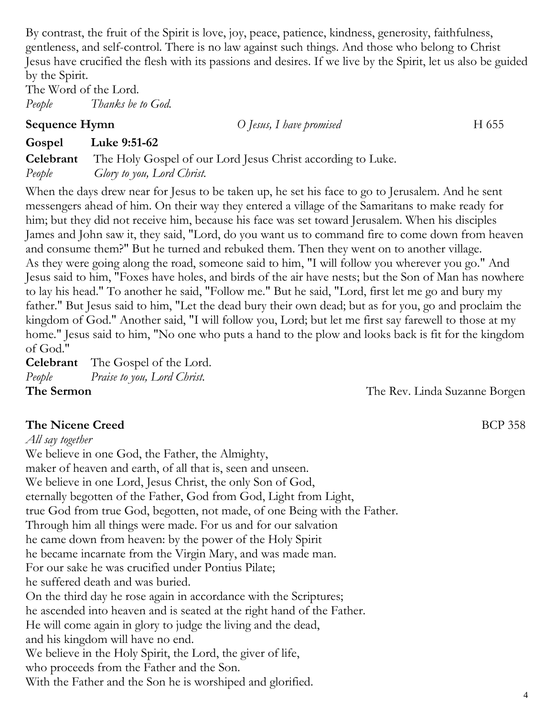By contrast, the fruit of the Spirit is love, joy, peace, patience, kindness, generosity, faithfulness, gentleness, and self-control. There is no law against such things. And those who belong to Christ Jesus have crucified the flesh with its passions and desires. If we live by the Spirit, let us also be guided by the Spirit.

The Word of the Lord. *People Thanks be to God.*

**Sequence Hymn** *O Jesus, I have promised* H 655

**Gospel Luke 9:51-62**

**Celebrant** The Holy Gospel of our Lord Jesus Christ according to Luke. *People**Glory to you, Lord Christ.*

When the days drew near for Jesus to be taken up, he set his face to go to Jerusalem. And he sent messengers ahead of him. On their way they entered a village of the Samaritans to make ready for him; but they did not receive him, because his face was set toward Jerusalem. When his disciples James and John saw it, they said, "Lord, do you want us to command fire to come down from heaven and consume them?" But he turned and rebuked them. Then they went on to another village. As they were going along the road, someone said to him, "I will follow you wherever you go." And Jesus said to him, "Foxes have holes, and birds of the air have nests; but the Son of Man has nowhere to lay his head." To another he said, "Follow me." But he said, "Lord, first let me go and bury my father." But Jesus said to him, "Let the dead bury their own dead; but as for you, go and proclaim the kingdom of God." Another said, "I will follow you, Lord; but let me first say farewell to those at my home." Jesus said to him, "No one who puts a hand to the plow and looks back is fit for the kingdom of God."

**Celebrant** The Gospel of the Lord. *People Praise to you, Lord Christ.* **The Sermon** The Rev. Linda Suzanne Borgen

# **The Nicene Creed BCP 358**

*All say together* We believe in one God, the Father, the Almighty, maker of heaven and earth, of all that is, seen and unseen. We believe in one Lord, Jesus Christ, the only Son of God, eternally begotten of the Father, God from God, Light from Light, true God from true God, begotten, not made, of one Being with the Father. Through him all things were made. For us and for our salvation he came down from heaven: by the power of the Holy Spirit he became incarnate from the Virgin Mary, and was made man. For our sake he was crucified under Pontius Pilate; he suffered death and was buried. On the third day he rose again in accordance with the Scriptures; he ascended into heaven and is seated at the right hand of the Father. He will come again in glory to judge the living and the dead, and his kingdom will have no end. We believe in the Holy Spirit, the Lord, the giver of life, who proceeds from the Father and the Son. With the Father and the Son he is worshiped and glorified.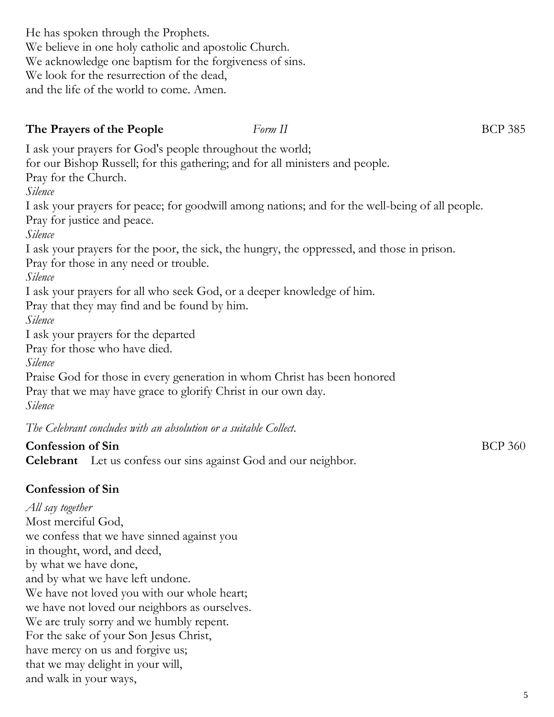He has spoken through the Prophets. We believe in one holy catholic and apostolic Church. We acknowledge one baptism for the forgiveness of sins. We look for the resurrection of the dead, and the life of the world to come. Amen.

# **The Prayers of the People** *Form II Form II BCP* 385 I ask your prayers for God's people throughout the world; for our Bishop Russell; for this gathering; and for all ministers and people. Pray for the Church. *Silence* I ask your prayers for peace; for goodwill among nations; and for the well-being of all people. Pray for justice and peace. *Silence* I ask your prayers for the poor, the sick, the hungry, the oppressed, and those in prison. Pray for those in any need or trouble. *Silence* I ask your prayers for all who seek God, or a deeper knowledge of him. Pray that they may find and be found by him. *Silence* I ask your prayers for the departed Pray for those who have died. *Silence* Praise God for those in every generation in whom Christ has been honored Pray that we may have grace to glorify Christ in our own day. *Silence*

*The Celebrant concludes with an absolution or a suitable Collect.*

# **Confession of Sin** BCP 360

**Celebrant** Let us confess our sins against God and our neighbor.

# **Confession of Sin**

*All say together* Most merciful God, we confess that we have sinned against you in thought, word, and deed, by what we have done, and by what we have left undone. We have not loved you with our whole heart; we have not loved our neighbors as ourselves. We are truly sorry and we humbly repent. For the sake of your Son Jesus Christ, have mercy on us and forgive us; that we may delight in your will, and walk in your ways,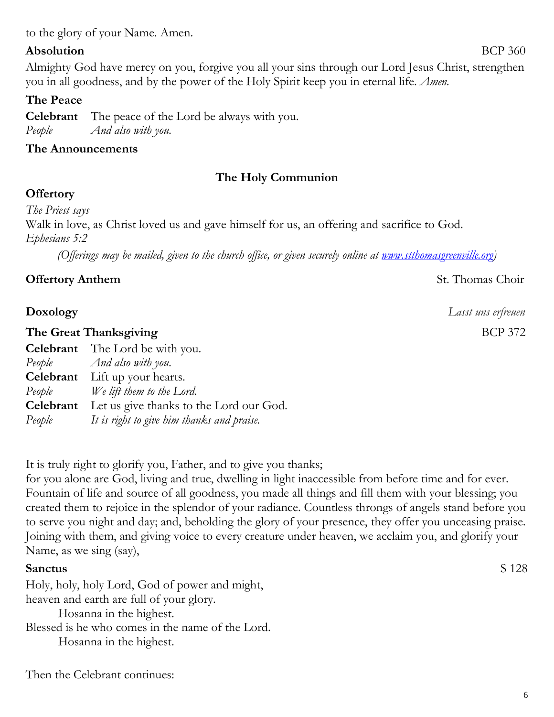to the glory of your Name. Amen.

### **Absolution** BCP 360

Almighty God have mercy on you, forgive you all your sins through our Lord Jesus Christ, strengthen you in all goodness, and by the power of the Holy Spirit keep you in eternal life. *Amen.*

# **The Peace**

**Celebrant** The peace of the Lord be always with you. *People And also with you.*

### **The Announcements**

### **The Holy Communion**

### **Offertory**

*The Priest says* Walk in love, as Christ loved us and gave himself for us, an offering and sacrifice to God. *Ephesians 5:2*

*(Offerings may be mailed, given to the church office, or given securely online at [www.stthomasgreenville.org\)](http://www.stthomasgreenville.org/)*

# **Offertory Anthem** St. Thomas Choir

### **The Great Thanksgiving** BCP 372

**Celebrant** The Lord be with you. *People And also with you.* **Celebrant** Lift up your hearts. *People We lift them to the Lord.*  **Celebrant** Let us give thanks to the Lord our God. *People It is right to give him thanks and praise.*

It is truly right to glorify you, Father, and to give you thanks;

for you alone are God, living and true, dwelling in light inaccessible from before time and for ever. Fountain of life and source of all goodness, you made all things and fill them with your blessing; you created them to rejoice in the splendor of your radiance. Countless throngs of angels stand before you to serve you night and day; and, beholding the glory of your presence, they offer you unceasing praise. Joining with them, and giving voice to every creature under heaven, we acclaim you, and glorify your Name, as we sing (say),

### **Sanctus** S 128

Holy, holy, holy Lord, God of power and might, heaven and earth are full of your glory.

Hosanna in the highest.

Blessed is he who comes in the name of the Lord.

Hosanna in the highest.

Then the Celebrant continues:

**Doxology** *Lasst uns erfreuen*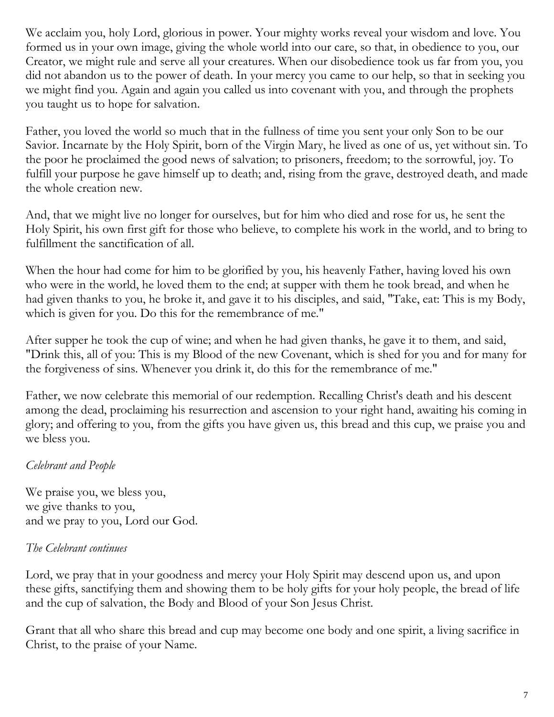We acclaim you, holy Lord, glorious in power. Your mighty works reveal your wisdom and love. You formed us in your own image, giving the whole world into our care, so that, in obedience to you, our Creator, we might rule and serve all your creatures. When our disobedience took us far from you, you did not abandon us to the power of death. In your mercy you came to our help, so that in seeking you we might find you. Again and again you called us into covenant with you, and through the prophets you taught us to hope for salvation.

Father, you loved the world so much that in the fullness of time you sent your only Son to be our Savior. Incarnate by the Holy Spirit, born of the Virgin Mary, he lived as one of us, yet without sin. To the poor he proclaimed the good news of salvation; to prisoners, freedom; to the sorrowful, joy. To fulfill your purpose he gave himself up to death; and, rising from the grave, destroyed death, and made the whole creation new.

And, that we might live no longer for ourselves, but for him who died and rose for us, he sent the Holy Spirit, his own first gift for those who believe, to complete his work in the world, and to bring to fulfillment the sanctification of all.

When the hour had come for him to be glorified by you, his heavenly Father, having loved his own who were in the world, he loved them to the end; at supper with them he took bread, and when he had given thanks to you, he broke it, and gave it to his disciples, and said, "Take, eat: This is my Body, which is given for you. Do this for the remembrance of me."

After supper he took the cup of wine; and when he had given thanks, he gave it to them, and said, "Drink this, all of you: This is my Blood of the new Covenant, which is shed for you and for many for the forgiveness of sins. Whenever you drink it, do this for the remembrance of me."

Father, we now celebrate this memorial of our redemption. Recalling Christ's death and his descent among the dead, proclaiming his resurrection and ascension to your right hand, awaiting his coming in glory; and offering to you, from the gifts you have given us, this bread and this cup, we praise you and we bless you.

# *Celebrant and People*

We praise you, we bless you, we give thanks to you, and we pray to you, Lord our God.

# *The Celebrant continues*

Lord, we pray that in your goodness and mercy your Holy Spirit may descend upon us, and upon these gifts, sanctifying them and showing them to be holy gifts for your holy people, the bread of life and the cup of salvation, the Body and Blood of your Son Jesus Christ.

Grant that all who share this bread and cup may become one body and one spirit, a living sacrifice in Christ, to the praise of your Name.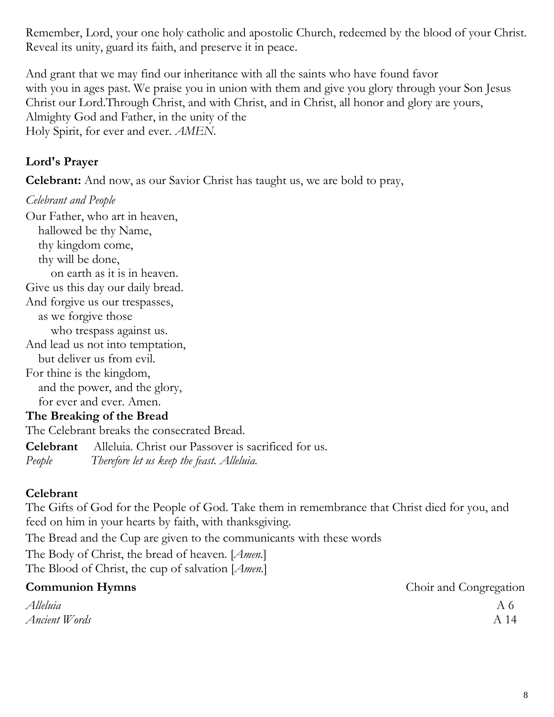Remember, Lord, your one holy catholic and apostolic Church, redeemed by the blood of your Christ. Reveal its unity, guard its faith, and preserve it in peace.

And grant that we may find our inheritance with all the saints who have found favor with you in ages past. We praise you in union with them and give you glory through your Son Jesus Christ our Lord.Through Christ, and with Christ, and in Christ, all honor and glory are yours, Almighty God and Father, in the unity of the Holy Spirit, for ever and ever. *AMEN.*

# **Lord's Prayer**

**Celebrant:** And now, as our Savior Christ has taught us, we are bold to pray,

### *Celebrant and People*

Our Father, who art in heaven, hallowed be thy Name, thy kingdom come, thy will be done, on earth as it is in heaven. Give us this day our daily bread. And forgive us our trespasses, as we forgive those who trespass against us. And lead us not into temptation, but deliver us from evil. For thine is the kingdom, and the power, and the glory, for ever and ever. Amen.

# **The Breaking of the Bread**

The Celebrant breaks the consecrated Bread.

**Celebrant** Alleluia. Christ our Passover is sacrificed for us. *People Therefore let us keep the feast. Alleluia.*

# **Celebrant**

The Gifts of God for the People of God. Take them in remembrance that Christ died for you, and feed on him in your hearts by faith, with thanksgiving.

The Bread and the Cup are given to the communicants with these words

The Body of Christ, the bread of heaven. [*Amen.*] The Blood of Christ, the cup of salvation [*Amen.*]

*Alleluia* A 6 *Ancient Words* A 14

**Communion Hymns** Choir and Congregation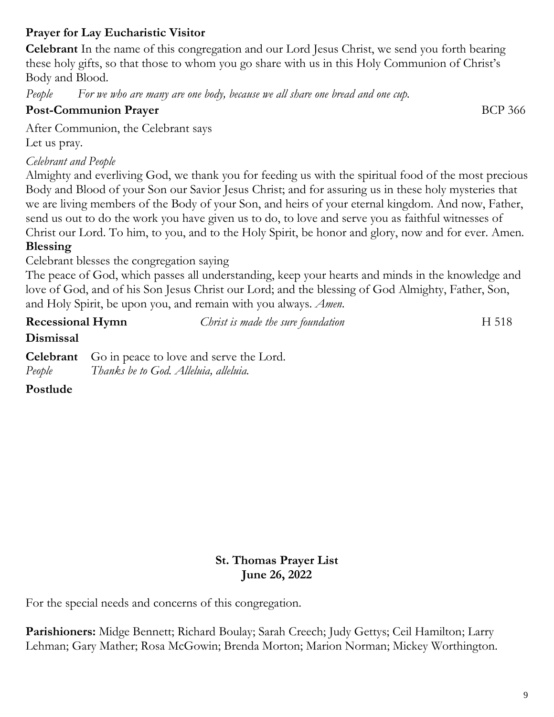# **Prayer for Lay Eucharistic Visitor**

**Celebrant** In the name of this congregation and our Lord Jesus Christ, we send you forth bearing these holy gifts, so that those to whom you go share with us in this Holy Communion of Christ's Body and Blood.

*People For we who are many are one body, because we all share one bread and one cup.*

### **Post-Communion Prayer** BCP 366

After Communion, the Celebrant says Let us pray.

### *Celebrant and People*

Almighty and everliving God, we thank you for feeding us with the spiritual food of the most precious Body and Blood of your Son our Savior Jesus Christ; and for assuring us in these holy mysteries that we are living members of the Body of your Son, and heirs of your eternal kingdom. And now, Father, send us out to do the work you have given us to do, to love and serve you as faithful witnesses of Christ our Lord. To him, to you, and to the Holy Spirit, be honor and glory, now and for ever. Amen.

### **Blessing**

Celebrant blesses the congregation saying

The peace of God, which passes all understanding, keep your hearts and minds in the knowledge and love of God, and of his Son Jesus Christ our Lord; and the blessing of God Almighty, Father, Son, and Holy Spirit, be upon you, and remain with you always. *Amen*.

| <b>Recessional Hymn</b> |                                                                                                   | Christ is made the sure foundation | H 518 |  |
|-------------------------|---------------------------------------------------------------------------------------------------|------------------------------------|-------|--|
| Dismissal               |                                                                                                   |                                    |       |  |
| People                  | <b>Celebrant</b> Go in peace to love and serve the Lord.<br>Thanks be to God. Alleluia, alleluia. |                                    |       |  |
| Postlude                |                                                                                                   |                                    |       |  |

### **St. Thomas Prayer List June 26, 2022**

For the special needs and concerns of this congregation.

**Parishioners:** Midge Bennett; Richard Boulay; Sarah Creech; Judy Gettys; Ceil Hamilton; Larry Lehman; Gary Mather; Rosa McGowin; Brenda Morton; Marion Norman; Mickey Worthington.